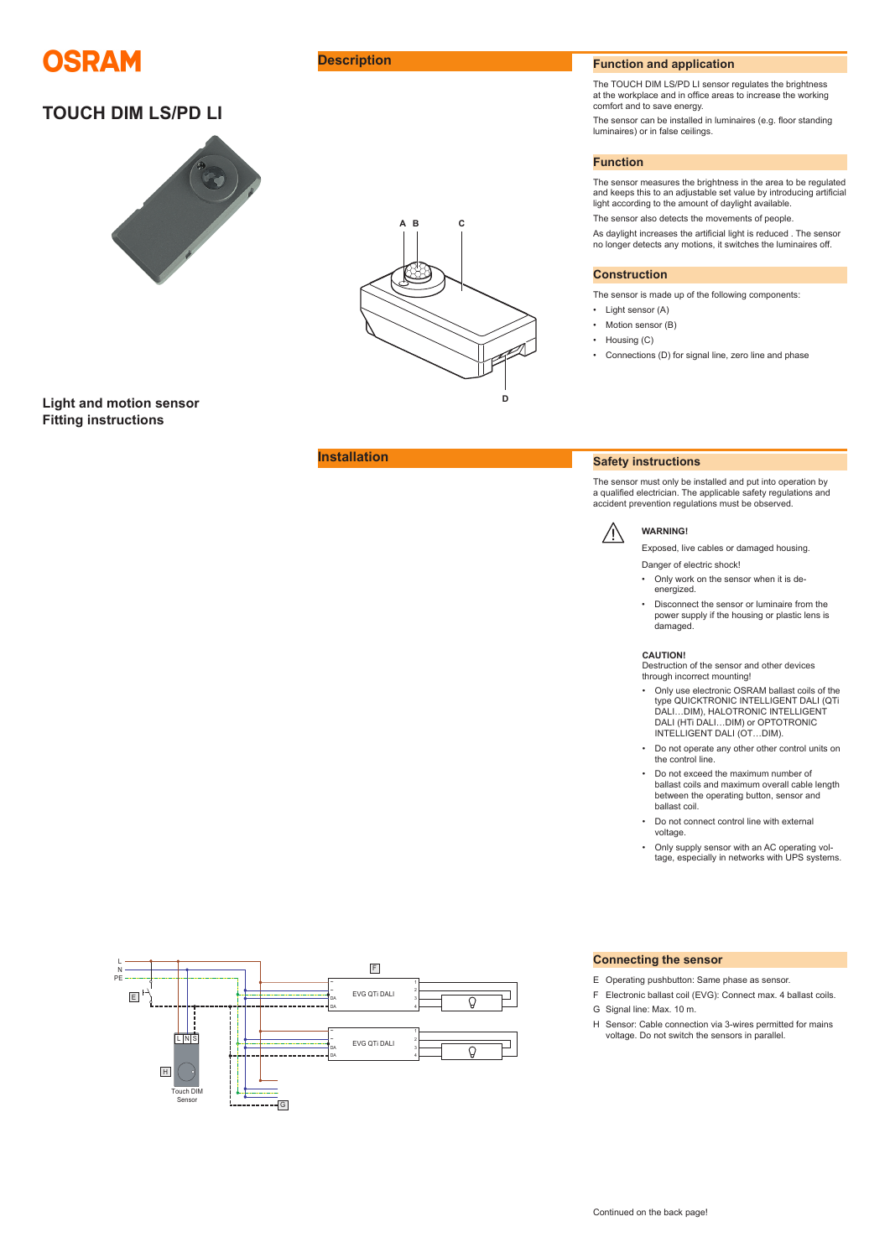

# **TOUCH DIM LS/PD LI**



**Light and motion sensor Fitting instructions**



## **Description Function Function and application**

The TOUCH DIM LS/PD LI sensor regulates the brightness at the workplace and in office areas to increase the working comfort and to save energy.

The sensor can be installed in luminaires (e.g. floor standing luminaires) or in false ceilings.

### **Function**

The sensor measures the brightness in the area to be regulated and keeps this to an adjustable set value by introducing artificial light according to the amount of daylight available.

The sensor also detects the movements of people.

As daylight increases the artificial light is reduced . The sensor no longer detects any motions, it switches the luminaires off.

### **Construction**

The sensor is made up of the following components:

- Light sensor (A)
- Motion sensor (B)
- Housing (C)
- Connections (D) for signal line, zero line and phase

## **Installation Safety instructions**

The sensor must only be installed and put into operation by a qualified electrician. The applicable safety regulations and accident prevention regulations must be observed.



ΛN

### Exposed, live cables or damaged housing. Danger of electric shock!

- Only work on the sensor when it is deenergized.
- Disconnect the sensor or luminaire from the power supply if the housing or plastic lens is damaged.

### **CAUTION!**

Destruction of the sensor and other devices through incorrect mounting!

- Only use electronic OSRAM ballast coils of the type QUICKTRONIC INTELLIGENT DALI (QTi DALI…DIM), HALOTRONIC INTELLIGENT DALI (HTi DALI…DIM) or OPTOTRONIC INTELLIGENT DALI (OT…DIM).
- Do not operate any other other control units on the control line.
- Do not exceed the maximum number of ballast coils and maximum overall cable length between the operating button, sensor and ballast coil.
- Do not connect control line with external voltage.
- Only supply sensor with an AC operating voltage, especially in networks with UPS systems.



### **Connecting the sensor**

- E Operating pushbutton: Same phase as sensor.
- F Electronic ballast coil (EVG): Connect max. 4 ballast coils.
- G Signal line: Max. 10 m.
- H Sensor: Cable connection via 3-wires permitted for mains voltage. Do not switch the sensors in parallel.